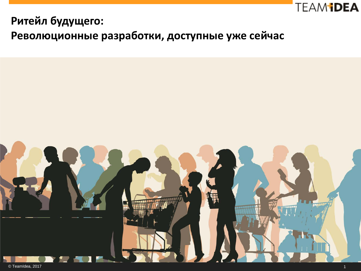

### **Ритейл будущего:**

**Революционные разработки, доступные уже сейчас**

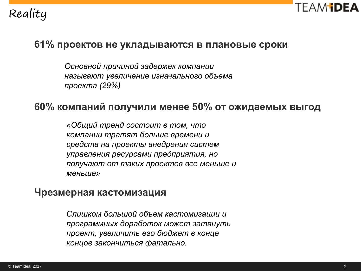# Reality



#### **61% проектов не укладываются в плановые сроки**

*Основной причиной задержек компании называют увеличение изначального объема проекта (29%)*

#### **60% компаний получили менее 50% от ожидаемых выгод**

*«Общий тренд состоит в том, что компании тратят больше времени и средств на проекты внедрения систем управления ресурсами предприятия, но получают от таких проектов все меньше и меньше»*

#### **Чрезмерная кастомизация**

*Слишком большой объем кастомизации и программных доработок может затянуть проект, увеличить его бюджет в конце концов закончиться фатально.*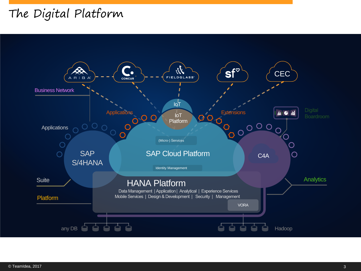# The Digital Platform

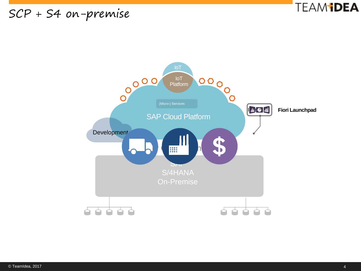## SCP + S4 on-premise



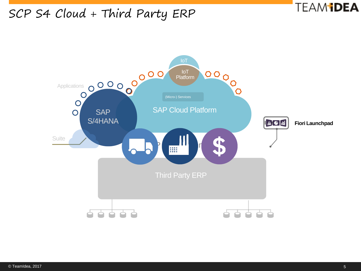## SCP S4 Cloud + Third Party ERP



**TEAM DEA**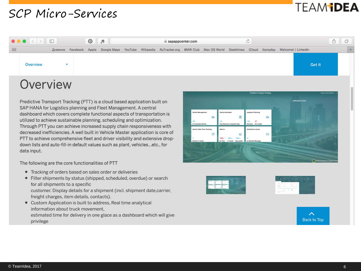## SCP Micro-Services

# TEAM **idea**



## Overview

Predictive Transport Tracking (PTT) is a cloud based application built on SAP HANA for Logistics planning and Fleet Management. A central dashboard which covers complete functional aspects of transportation is utilized to achieve sustainable planning, scheduling and optimization. Through PTT you can achieve increased supply chain responsiveness with decreased inefficiencies. A well built in Vehicle Master application is core of PTT to achieve comprehensive fleet and driver visibility and extensive dropdown lists and auto-fill-in default values such as plant, vehicles...etc., for data input.

The following are the core functionalities of PTT

- Tracking of orders based on sales order or deliveries
- · Filter shipments by status (shipped, scheduled, overdue) or search for all shipments to a specific customer. Display details for a shipment (incl. shipment date, carrier, freight charges, item details, contacts).
- Custom Application is built to address, Real time analytical information about truck movement, estimated time for delivery in one glace as a dashboard which will give privilege





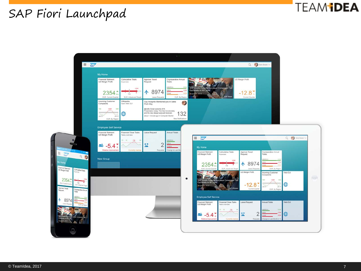#### **TEAM IDEA**

# SAP Fiori Launchpad

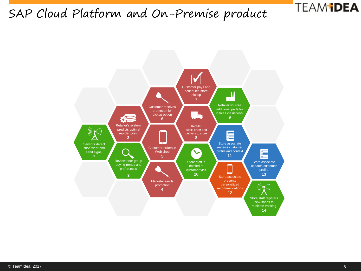## SAP Cloud Platform and On-Premise product



**TEAM DEA**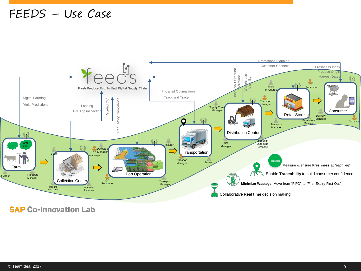#### FEEDS – Use Case



**SAP Co-Innovation Lab**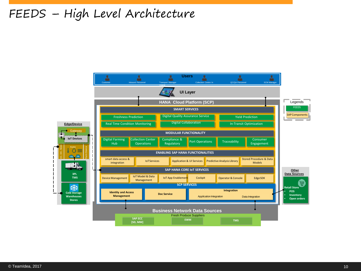## FEEDS – High Level Architecture

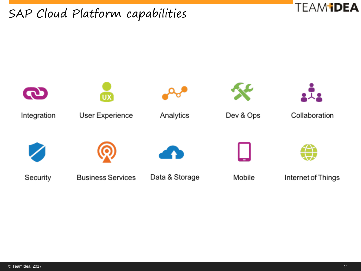SAP Cloud Platform capabilities



**TEAMIDEA**